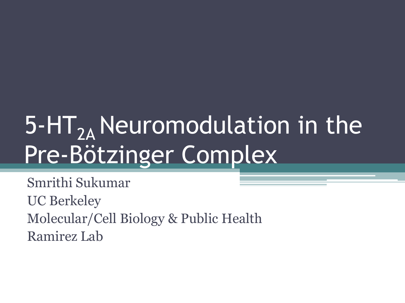# $5$ -HT<sub>2A</sub> Neuromodulation in the Pre-Bötzinger Complex

Smrithi Sukumar UC Berkeley Molecular/Cell Biology & Public Health Ramirez Lab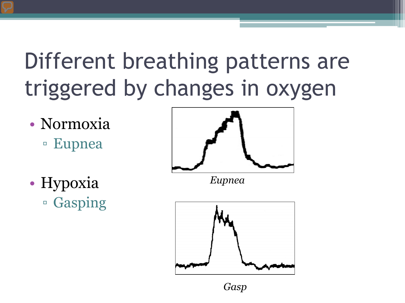## Different breathing patterns are triggered by changes in oxygen

- Normoxia ▫ Eupnea
- Hypoxia ▫ Gasping



*Eupnea*



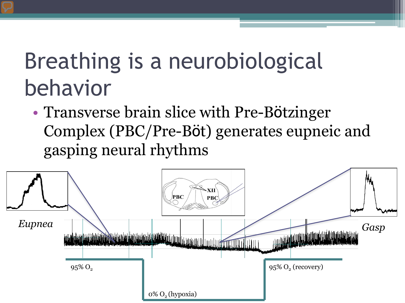## Breathing is a neurobiological behavior

• Transverse brain slice with Pre-Bötzinger Complex (PBC/Pre-Böt) generates eupneic and gasping neural rhythms

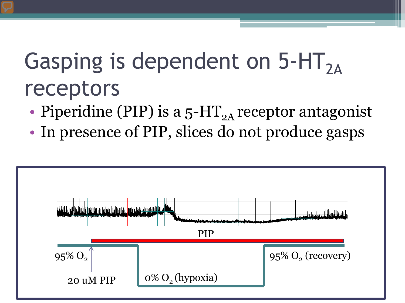## Gasping is dependent on  $5-HT_{2A}$ receptors

- Piperidine (PIP) is a  $5$ -HT<sub>2A</sub> receptor antagonist
- In presence of PIP, slices do not produce gasps

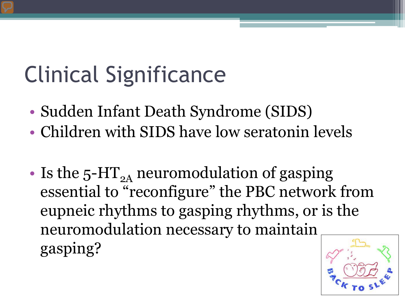# Clinical Significance

- Sudden Infant Death Syndrome (SIDS)
- Children with SIDS have low seratonin levels
- Is the  $5$ -HT<sub>2A</sub> neuromodulation of gasping essential to "reconfigure" the PBC network from eupneic rhythms to gasping rhythms, or is the neuromodulation necessary to maintain gasping?

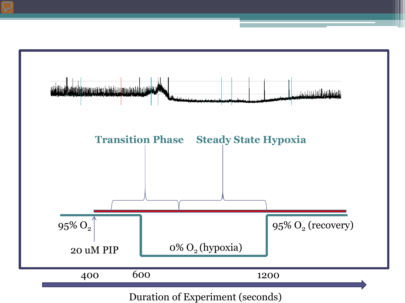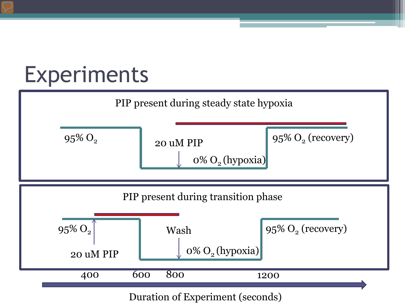## Experiments

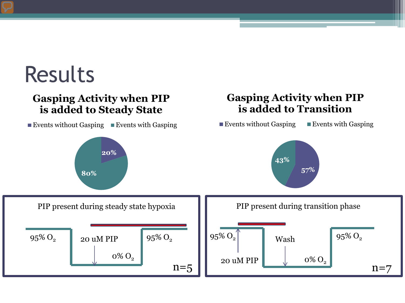### Results

### **Gasping Activity when PIP is added to Steady State**

**Events without Gasping Events with Gasping** 

### **Gasping Activity when PIP is added to Transition**

Events without Gasping Events with Gasping

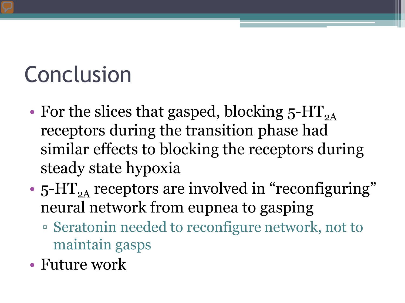## Conclusion

- For the slices that gasped, blocking  $5-HT_{2A}$ receptors during the transition phase had similar effects to blocking the receptors during steady state hypoxia
- $5$ -HT<sub>2A</sub> receptors are involved in "reconfiguring" neural network from eupnea to gasping
	- Seratonin needed to reconfigure network, not to maintain gasps
- Future work